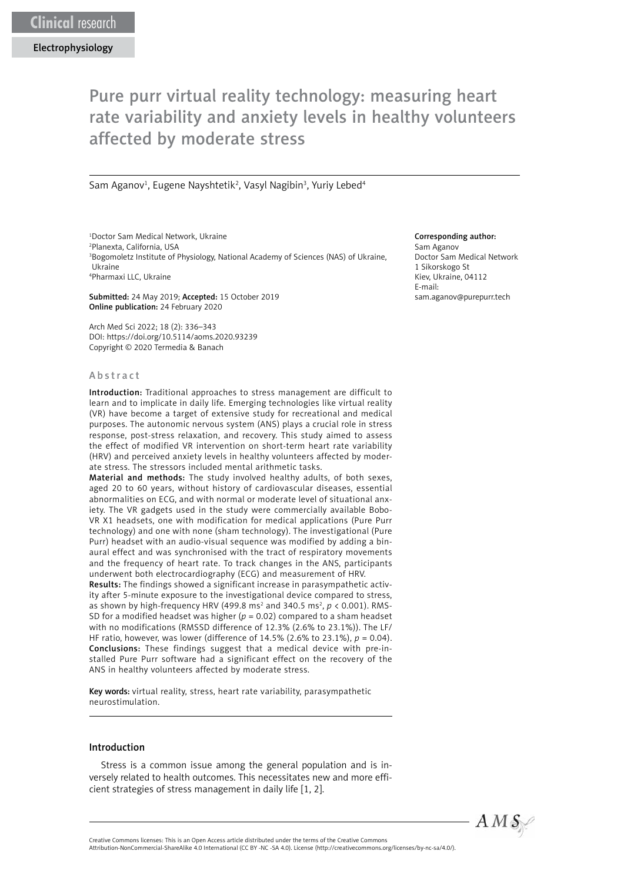# Pure purr virtual reality technology: measuring heart rate variability and anxiety levels in healthy volunteers affected by moderate stress

Sam Aganov<sup>1</sup>, Eugene Nayshtetik<sup>2</sup>, Vasyl Nagibin<sup>3</sup>, Yuriy Lebed<sup>4</sup>

 Doctor Sam Medical Network, Ukraine Planexta, California, USA Bogomoletz Institute of Physiology, National Academy of Sciences (NAS) of Ukraine, Ukraine Pharmaxi LLC, Ukraine

Submitted: 24 May 2019; Accepted: 15 October 2019 Online publication: 24 February 2020

Arch Med Sci 2022; 18 (2): 336–343 DOI: https://doi.org/10.5114/aoms.2020.93239 Copyright © 2020 Termedia & Banach

#### Abstract

Introduction: Traditional approaches to stress management are difficult to learn and to implicate in daily life. Emerging technologies like virtual reality (VR) have become a target of extensive study for recreational and medical purposes. The autonomic nervous system (ANS) plays a crucial role in stress response, post-stress relaxation, and recovery. This study aimed to assess the effect of modified VR intervention on short-term heart rate variability (HRV) and perceived anxiety levels in healthy volunteers affected by moderate stress. The stressors included mental arithmetic tasks.

Material and methods: The study involved healthy adults, of both sexes, aged 20 to 60 years, without history of cardiovascular diseases, essential abnormalities on ECG, and with normal or moderate level of situational anxiety. The VR gadgets used in the study were commercially available Bobo-VR X1 headsets, one with modification for medical applications (Pure Purr technology) and one with none (sham technology). The investigational (Pure Purr) headset with an audio-visual sequence was modified by adding a binaural effect and was synchronised with the tract of respiratory movements and the frequency of heart rate. To track changes in the ANS, participants underwent both electrocardiography (ECG) and measurement of HRV.

Results: The findings showed a significant increase in parasympathetic activity after 5-minute exposure to the investigational device compared to stress, as shown by high-frequency HRV (499.8 ms<sup>2</sup> and 340.5 ms<sup>2</sup>, p < 0.001). RMS-SD for a modified headset was higher ( $p = 0.02$ ) compared to a sham headset with no modifications (RMSSD difference of 12.3% (2.6% to 23.1%)). The LF/ HF ratio, however, was lower (difference of 14.5% (2.6% to 23.1%), *p* = 0.04). Conclusions: These findings suggest that a medical device with pre-installed Pure Purr software had a significant effect on the recovery of the ANS in healthy volunteers affected by moderate stress.

Key words: virtual reality, stress, heart rate variability, parasympathetic neurostimulation.

## Introduction

Stress is a common issue among the general population and is inversely related to health outcomes. This necessitates new and more efficient strategies of stress management in daily life [1, 2].

#### Corresponding author:

Sam Aganov Doctor Sam Medical Network 1 Sikorskogo St Kiev, Ukraine, 04112 E-mail: sam.aganov@purepurr.tech



Creative Commons licenses: This is an Open Access article distributed under the terms of the Creative Commons Attribution-NonCommercial-ShareAlike 4.0 International (CC BY -NC -SA 4.0). License (http://creativecommons.org/licenses/by-nc-sa/4.0/).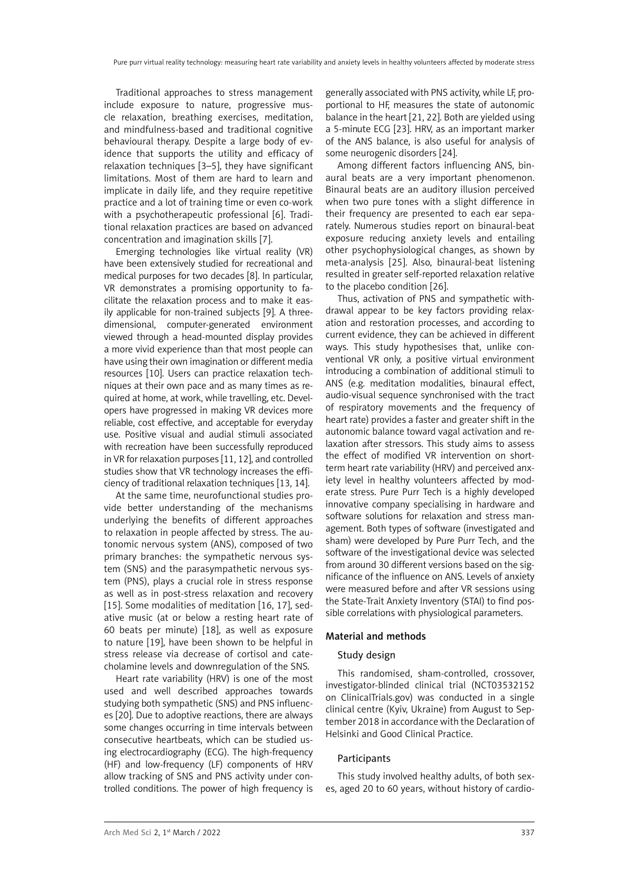Traditional approaches to stress management include exposure to nature, progressive muscle relaxation, breathing exercises, meditation, and mindfulness-based and traditional cognitive behavioural therapy. Despite a large body of evidence that supports the utility and efficacy of relaxation techniques [3–5], they have significant limitations. Most of them are hard to learn and implicate in daily life, and they require repetitive practice and a lot of training time or even co-work with a psychotherapeutic professional [6]. Traditional relaxation practices are based on advanced concentration and imagination skills [7].

Emerging technologies like virtual reality (VR) have been extensively studied for recreational and medical purposes for two decades [8]. In particular, VR demonstrates a promising opportunity to facilitate the relaxation process and to make it easily applicable for non-trained subjects [9]. A threedimensional, computer-generated environment viewed through a head-mounted display provides a more vivid experience than that most people can have using their own imagination or different media resources [10]. Users can practice relaxation techniques at their own pace and as many times as required at home, at work, while travelling, etc. Developers have progressed in making VR devices more reliable, cost effective, and acceptable for everyday use. Positive visual and audial stimuli associated with recreation have been successfully reproduced in VR for relaxation purposes [11, 12], and controlled studies show that VR technology increases the efficiency of traditional relaxation techniques [13, 14].

At the same time, neurofunctional studies provide better understanding of the mechanisms underlying the benefits of different approaches to relaxation in people affected by stress. The autonomic nervous system (ANS), composed of two primary branches: the sympathetic nervous system (SNS) and the parasympathetic nervous system (PNS), plays a crucial role in stress response as well as in post-stress relaxation and recovery [15]. Some modalities of meditation [16, 17], sedative music (at or below a resting heart rate of 60 beats per minute) [18], as well as exposure to nature [19], have been shown to be helpful in stress release via decrease of cortisol and catecholamine levels and downregulation of the SNS.

Heart rate variability (HRV) is one of the most used and well described approaches towards studying both sympathetic (SNS) and PNS influences [20]. Due to adoptive reactions, there are always some changes occurring in time intervals between consecutive heartbeats, which can be studied using electrocardiography (ECG). The high-frequency (HF) and low-frequency (LF) components of HRV allow tracking of SNS and PNS activity under controlled conditions. The power of high frequency is generally associated with PNS activity, while LF, proportional to HF, measures the state of autonomic balance in the heart [21, 22]. Both are yielded using a 5-minute ECG [23]. HRV, as an important marker of the ANS balance, is also useful for analysis of some neurogenic disorders [24].

Among different factors influencing ANS, binaural beats are a very important phenomenon. Binaural beats are an auditory illusion perceived when two pure tones with a slight difference in their frequency are presented to each ear separately. Numerous studies report on binaural-beat exposure reducing anxiety levels and entailing other psychophysiological changes, as shown by meta-analysis [25]. Also, binaural-beat listening resulted in greater self-reported relaxation relative to the placebo condition [26].

Thus, activation of PNS and sympathetic withdrawal appear to be key factors providing relaxation and restoration processes, and according to current evidence, they can be achieved in different ways. This study hypothesises that, unlike conventional VR only, a positive virtual environment introducing a combination of additional stimuli to ANS (e.g. meditation modalities, binaural effect, audio-visual sequence synchronised with the tract of respiratory movements and the frequency of heart rate) provides a faster and greater shift in the autonomic balance toward vagal activation and relaxation after stressors. This study aims to assess the effect of modified VR intervention on shortterm heart rate variability (HRV) and perceived anxiety level in healthy volunteers affected by moderate stress. Pure Purr Tech is a highly developed innovative company specialising in hardware and software solutions for relaxation and stress management. Both types of software (investigated and sham) were developed by Pure Purr Tech, and the software of the investigational device was selected from around 30 different versions based on the significance of the influence on ANS. Levels of anxiety were measured before and after VR sessions using the State-Trait Anxiety Inventory (STAI) to find possible correlations with physiological parameters.

## Material and methods

## Study design

This randomised, sham-controlled, crossover, investigator-blinded clinical trial (NCT03532152 on ClinicalTrials.gov) was conducted in a single clinical centre (Kyiv, Ukraine) from August to September 2018 in accordance with the Declaration of Helsinki and Good Clinical Practice.

### Participants

This study involved healthy adults, of both sexes, aged 20 to 60 years, without history of cardio-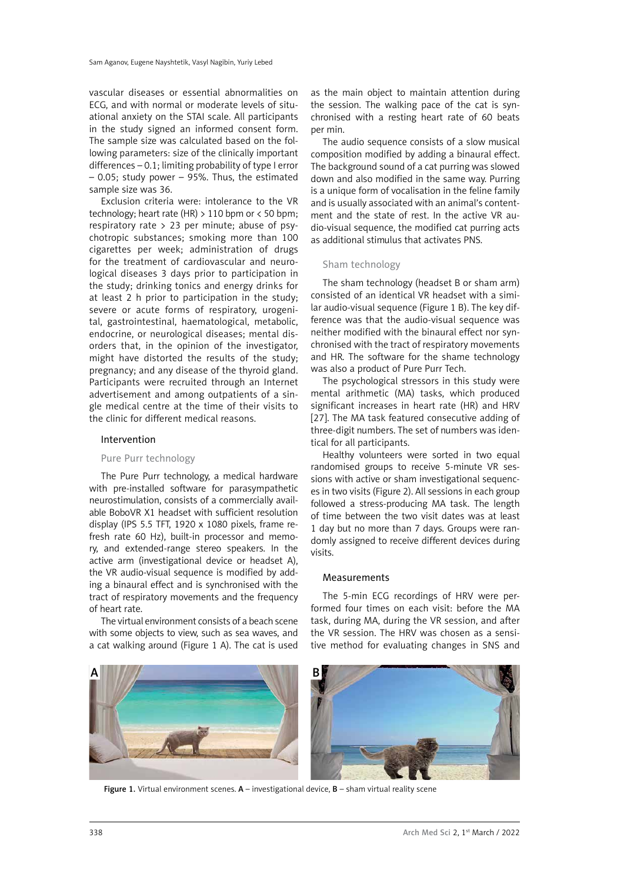vascular diseases or essential abnormalities on ECG, and with normal or moderate levels of situational anxiety on the STAI scale. All participants in the study signed an informed consent form. The sample size was calculated based on the following parameters: size of the clinically important differences - 0.1; limiting probability of type I error – 0.05; study power – 95%. Thus, the estimated sample size was 36.

Exclusion criteria were: intolerance to the VR technology; heart rate (HR)  $> 110$  bpm or  $< 50$  bpm; respiratory rate  $> 23$  per minute; abuse of psychotropic substances; smoking more than 100 cigarettes per week; administration of drugs for the treatment of cardiovascular and neurological diseases 3 days prior to participation in the study; drinking tonics and energy drinks for at least 2 h prior to participation in the study; severe or acute forms of respiratory, urogenital, gastrointestinal, haematological, metabolic, endocrine, or neurological diseases; mental disorders that, in the opinion of the investigator, might have distorted the results of the study; pregnancy; and any disease of the thyroid gland. Participants were recruited through an Internet advertisement and among outpatients of a single medical centre at the time of their visits to the clinic for different medical reasons.

## Intervention

## Pure Purr technology

The Pure Purr technology, a medical hardware with pre-installed software for parasympathetic neurostimulation, consists of a commercially available BoboVR X1 headset with sufficient resolution display (IPS 5.5 TFT, 1920 x 1080 pixels, frame refresh rate 60 Hz), built-in processor and memory, and extended-range stereo speakers. In the active arm (investigational device or headset A), the VR audio-visual sequence is modified by adding a binaural effect and is synchronised with the tract of respiratory movements and the frequency of heart rate.

The virtual environment consists of a beach scene with some objects to view, such as sea waves, and a cat walking around (Figure 1 A). The cat is used

as the main object to maintain attention during the session. The walking pace of the cat is synchronised with a resting heart rate of 60 beats per min.

The audio sequence consists of a slow musical composition modified by adding a binaural effect. The background sound of a cat purring was slowed down and also modified in the same way. Purring is a unique form of vocalisation in the feline family and is usually associated with an animal's contentment and the state of rest. In the active VR audio-visual sequence, the modified cat purring acts as additional stimulus that activates PNS.

## Sham technology

The sham technology (headset B or sham arm) consisted of an identical VR headset with a similar audio-visual sequence (Figure 1 B). The key difference was that the audio-visual sequence was neither modified with the binaural effect nor synchronised with the tract of respiratory movements and HR. The software for the shame technology was also a product of Pure Purr Tech.

The psychological stressors in this study were mental arithmetic (MA) tasks, which produced significant increases in heart rate (HR) and HRV [27]. The MA task featured consecutive adding of three-digit numbers. The set of numbers was identical for all participants.

Healthy volunteers were sorted in two equal randomised groups to receive 5-minute VR sessions with active or sham investigational sequences in two visits (Figure 2). All sessions in each group followed a stress-producing MA task. The length of time between the two visit dates was at least 1 day but no more than 7 days. Groups were randomly assigned to receive different devices during visits.

# Measurements

The 5-min ECG recordings of HRV were performed four times on each visit: before the MA task, during MA, during the VR session, and after the VR session. The HRV was chosen as a sensitive method for evaluating changes in SNS and



Figure 1. Virtual environment scenes.  $A$  – investigational device,  $B$  – sham virtual reality scene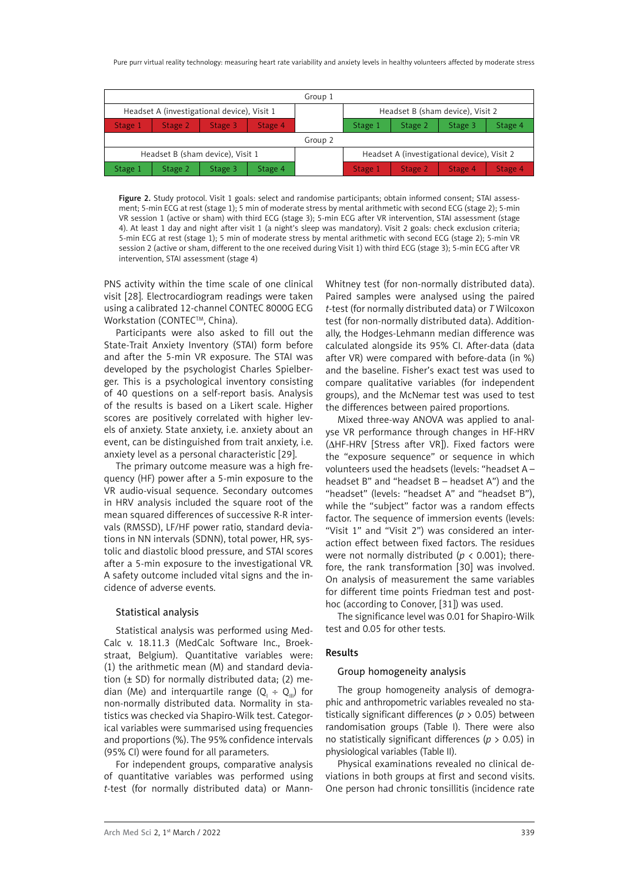| Group 1                                     |         |         |         |                                  |                                             |         |         |         |
|---------------------------------------------|---------|---------|---------|----------------------------------|---------------------------------------------|---------|---------|---------|
| Headset A (investigational device), Visit 1 |         |         |         | Headset B (sham device), Visit 2 |                                             |         |         |         |
| Stage 1                                     | Stage 2 | Stage 3 | Stage 4 |                                  | Stage 1                                     | Stage 2 | Stage 3 | Stage 4 |
| Group 2                                     |         |         |         |                                  |                                             |         |         |         |
| Headset B (sham device), Visit 1            |         |         |         |                                  | Headset A (investigational device), Visit 2 |         |         |         |
| Stage 1                                     | Stage 2 | Stage 3 | Stage 4 |                                  | Stage 1                                     | Stage 2 | Stage 4 | Stage 4 |

Figure 2. Study protocol. Visit 1 goals: select and randomise participants; obtain informed consent; STAI assessment; 5-min ECG at rest (stage 1); 5 min of moderate stress by mental arithmetic with second ECG (stage 2); 5-min VR session 1 (active or sham) with third ECG (stage 3); 5-min ECG after VR intervention, STAI assessment (stage 4). At least 1 day and night after visit 1 (a night's sleep was mandatory). Visit 2 goals: check exclusion criteria; 5-min ECG at rest (stage 1); 5 min of moderate stress by mental arithmetic with second ECG (stage 2); 5-min VR session 2 (active or sham, different to the one received during Visit 1) with third ECG (stage 3); 5-min ECG after VR intervention, STAI assessment (stage 4)

PNS activity within the time scale of one clinical visit [28]. Electrocardiogram readings were taken using a calibrated 12-channel CONTEC 8000G ECG Workstation (CONTEC™, China).

Participants were also asked to fill out the State-Trait Anxiety Inventory (STAI) form before and after the 5-min VR exposure. The STAI was developed by the psychologist Charles Spielberger. This is a psychological inventory consisting of 40 questions on a self-report basis. Analysis of the results is based on a Likert scale. Higher scores are positively correlated with higher levels of anxiety. State anxiety, i.e. anxiety about an event, can be distinguished from trait anxiety, i.e. anxiety level as a personal characteristic [29].

The primary outcome measure was a high frequency (HF) power after a 5-min exposure to the VR audio-visual sequence. Secondary outcomes in HRV analysis included the square root of the mean squared differences of successive R-R intervals (RMSSD), LF/HF power ratio, standard deviations in NN intervals (SDNN), total power, HR, systolic and diastolic blood pressure, and STAI scores after a 5-min exposure to the investigational VR. A safety outcome included vital signs and the incidence of adverse events.

## Statistical analysis

Statistical analysis was performed using Med-Calc v. 18.11.3 (MedCalc Software Inc., Broekstraat, Belgium). Quantitative variables were: (1) the arithmetic mean (M) and standard deviation  $(\pm$  SD) for normally distributed data; (2) median (Me) and interquartile range  $(Q_1 \div Q_0)$  for non-normally distributed data. Normality in statistics was checked via Shapiro-Wilk test. Categorical variables were summarised using frequencies and proportions (%). The 95% confidence intervals (95% CI) were found for all parameters.

For independent groups, comparative analysis of quantitative variables was performed using *t*-test (for normally distributed data) or MannWhitney test (for non-normally distributed data). Paired samples were analysed using the paired *t*-test (for normally distributed data) or *T* Wilcoxon test (for non-normally distributed data). Additionally, the Hodges-Lehmann median difference was calculated alongside its 95% CI. After-data (data after VR) were compared with before-data (in %) and the baseline. Fisher's exact test was used to compare qualitative variables (for independent groups), and the McNemar test was used to test the differences between paired proportions.

Mixed three-way ANOVA was applied to analyse VR performance through changes in HF-HRV (ΔHF-HRV [Stress after VR]). Fixed factors were the "exposure sequence" or sequence in which volunteers used the headsets (levels: "headset A – headset B" and "headset B – headset A") and the "headset" (levels: "headset A" and "headset B"), while the "subject" factor was a random effects factor. The sequence of immersion events (levels: "Visit 1" and "Visit 2") was considered an interaction effect between fixed factors. The residues were not normally distributed ( $p < 0.001$ ); therefore, the rank transformation [30] was involved. On analysis of measurement the same variables for different time points Friedman test and posthoc (according to Conover, [31]) was used.

The significance level was 0.01 for Shapiro-Wilk test and 0.05 for other tests.

## Results

## Group homogeneity analysis

The group homogeneity analysis of demographic and anthropometric variables revealed no statistically significant differences (*p* > 0.05) between randomisation groups (Table I). There were also no statistically significant differences (*p* > 0.05) in physiological variables (Table II).

Physical examinations revealed no clinical deviations in both groups at first and second visits. One person had chronic tonsillitis (incidence rate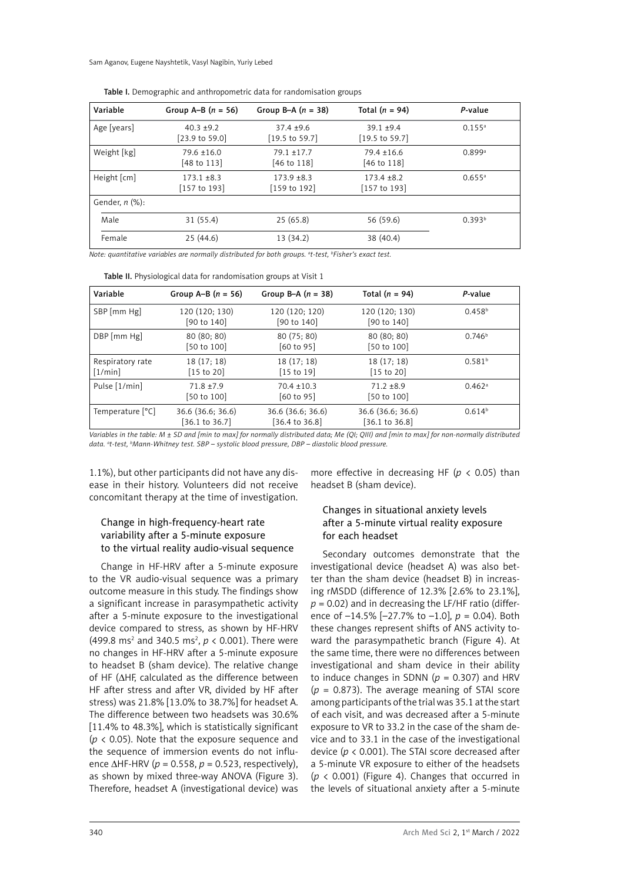Sam Aganov, Eugene Nayshtetik, Vasyl Nagibin, Yuriy Lebed

| Variable                    | Group A–B $(n = 56)$                       | Group B-A $(n = 38)$                      | Total $(n = 94)$                           | P-value            |
|-----------------------------|--------------------------------------------|-------------------------------------------|--------------------------------------------|--------------------|
| Age [years]                 | $40.3 + 9.2$<br>[23.9 to 59.0]             | $37.4 + 9.6$<br>$[19.5 \text{ to } 59.7]$ | $39.1 + 9.4$<br>$[19.5 \text{ to } 59.7]$  | $0.155^{\text{a}}$ |
| Weight [kg]                 | $79.6 \pm 16.0$<br>[48 to 113]             | $79.1 \pm 17.7$<br>$[46 \text{ to } 118]$ | $79.4 \pm 16.6$<br>$[46 \text{ to } 118]$  | 0.899a             |
| Height $\lceil$ cm $\rceil$ | $173.1 \pm 8.3$<br>$[157 \text{ to } 193]$ | $173.9 + 8.3$<br>[159 to 192]             | $173.4 \pm 8.2$<br>$[157 \text{ to } 193]$ | $0.655^{\circ}$    |
| Gender, $n$ $(\%)$ :        |                                            |                                           |                                            |                    |
| Male                        | 31(55.4)                                   | 25(65.8)                                  | 56 (59.6)                                  | 0.393 <sup>b</sup> |
| Female                      | 25(44.6)                                   | 13 (34.2)                                 | 38 (40.4)                                  |                    |

Table I. Demographic and anthropometric data for randomisation groups

*Note: quantitative variables are normally distributed for both groups. a t-test, b Fisher's exact test.*

| Variable                    | Group A–B $(n = 56)$                            | Group B-A $(n = 38)$                     | Total $(n = 94)$                               | P-value              |
|-----------------------------|-------------------------------------------------|------------------------------------------|------------------------------------------------|----------------------|
| SBP [mm Hg]                 | 120 (120; 130)<br>[90 to 140]                   | 120 (120; 120)<br>$[90 \text{ to } 140]$ | 120 (120; 130)<br>[90 to 140]                  | $0.458^{b}$          |
| DBP [mm Hg]                 | 80(80; 80)<br>[50 to 100]                       | 80 (75; 80)<br>$[60 \text{ to } 95]$     | 80(80; 80)<br>[50 to 100]                      | 0.746 <sup>b</sup>   |
| Respiratory rate<br>[1/min] | 18 (17; 18)<br>$\left[15 \text{ to } 20\right]$ | 18(17; 18)<br>$[15 \text{ to } 19]$      | 18(17; 18)<br>$\left[15 \text{ to } 20\right]$ | 0.581 <sup>b</sup>   |
| Pulse [1/min]               | $71.8 + 7.9$<br>[50 to 100]                     | $70.4 + 10.3$<br>$[60 \text{ to } 95]$   | $71.2 + 8.9$<br>[50 to 100]                    | $0.462$ <sup>a</sup> |
| Temperature [°C]            | 36.6 (36.6; 36.6)<br>$[36.1 \text{ to } 36.7]$  | 36.6 (36.6; 36.6)<br>[36.4 to 36.8]      | 36.6 (36.6; 36.6)<br>[36.1 to 36.8]            | 0.614 <sup>b</sup>   |

*Variables in the table: M ± SD and [min to max] for normally distributed data; Me (QI; QIII) and [min to max] for non-normally distributed data. a t-test, b Mann-Whitney test. SBP – systolic blood pressure, DBP – diastolic blood pressure.*

1.1%), but other participants did not have any disease in their history. Volunteers did not receive concomitant therapy at the time of investigation.

# Change in high-frequency-heart rate variability after a 5-minute exposure to the virtual reality audio-visual sequence

Change in HF-HRV after a 5-minute exposure to the VR audio-visual sequence was a primary outcome measure in this study. The findings show a significant increase in parasympathetic activity after a 5-minute exposure to the investigational device compared to stress, as shown by HF-HRV  $(499.8 \text{ ms}^2 \text{ and } 340.5 \text{ ms}^2, p < 0.001)$ . There were no changes in HF-HRV after a 5-minute exposure to headset B (sham device). The relative change of HF (∆HF, calculated as the difference between HF after stress and after VR, divided by HF after stress) was 21.8% [13.0% to 38.7%] for headset A. The difference between two headsets was 30.6% [11.4% to 48.3%], which is statistically significant (*p* < 0.05). Note that the exposure sequence and the sequence of immersion events do not influence ∆HF-HRV (*p* = 0.558, *p* = 0.523, respectively), as shown by mixed three-way ANOVA (Figure 3). Therefore, headset A (investigational device) was

more effective in decreasing HF ( $p$  < 0.05) than headset B (sham device).

# Changes in situational anxiety levels after a 5-minute virtual reality exposure for each headset

Secondary outcomes demonstrate that the investigational device (headset A) was also better than the sham device (headset B) in increasing rMSDD (difference of 12.3% [2.6% to 23.1%], *p* = 0.02) and in decreasing the LF/HF ratio (difference of –14.5% [–27.7% to –1.0], *p* = 0.04). Both these changes represent shifts of ANS activity toward the parasympathetic branch (Figure 4). At the same time, there were no differences between investigational and sham device in their ability to induce changes in SDNN ( $p = 0.307$ ) and HRV  $(p = 0.873)$ . The average meaning of STAI score among participants of the trial was 35.1 at the start of each visit, and was decreased after a 5-minute exposure to VR to 33.2 in the case of the sham device and to 33.1 in the case of the investigational device (*p* < 0.001). The STAI score decreased after a 5-minute VR exposure to either of the headsets  $(p \lt 0.001)$  (Figure 4). Changes that occurred in the levels of situational anxiety after a 5-minute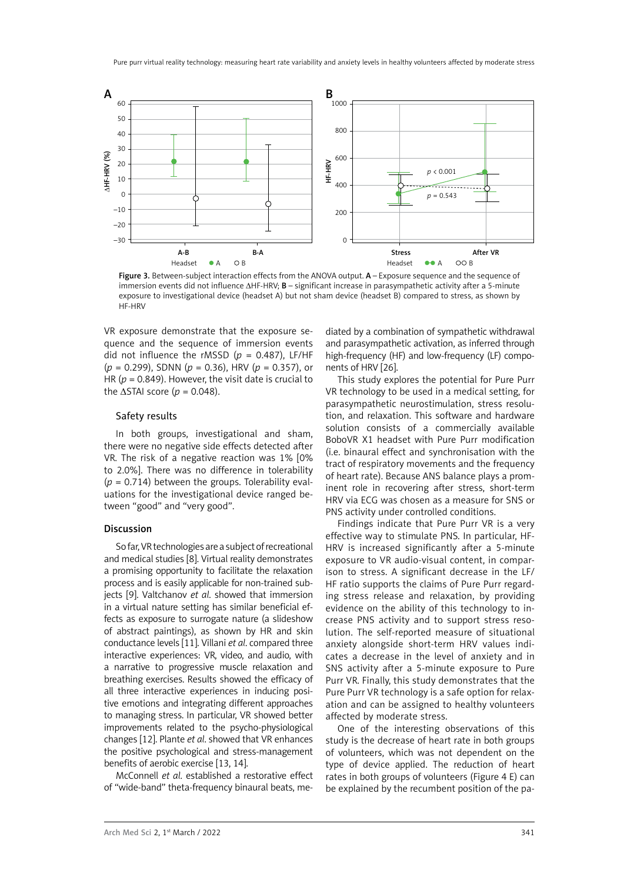

Figure 3. Between-subject interaction effects from the ANOVA output. A - Exposure sequence and the sequence of immersion events did not influence ∆HF-HRV; B – significant increase in parasympathetic activity after a 5-minute exposure to investigational device (headset A) but not sham device (headset B) compared to stress, as shown by HF-HRV

VR exposure demonstrate that the exposure sequence and the sequence of immersion events did not influence the rMSSD (*p* = 0.487), LF/HF (*p* = 0.299), SDNN (*p* = 0.36), HRV (*p* = 0.357), or HR ( $p = 0.849$ ). However, the visit date is crucial to the  $\triangle$ STAI score (*p* = 0.048).

### Safety results

In both groups, investigational and sham, there were no negative side effects detected after VR. The risk of a negative reaction was 1% [0% to 2.0%]. There was no difference in tolerability  $(p = 0.714)$  between the groups. Tolerability evaluations for the investigational device ranged between "good" and "very good".

#### Discussion

So far, VR technologies are a subject of recreational and medical studies [8]. Virtual reality demonstrates a promising opportunity to facilitate the relaxation process and is easily applicable for non-trained subjects [9]. Valtchanov *et al*. showed that immersion in a virtual nature setting has similar beneficial effects as exposure to surrogate nature (a slideshow of abstract paintings), as shown by HR and skin conductance levels [11]. Villani *et al*. compared three interactive experiences: VR, video, and audio, with a narrative to progressive muscle relaxation and breathing exercises. Results showed the efficacy of all three interactive experiences in inducing positive emotions and integrating different approaches to managing stress. In particular, VR showed better improvements related to the psycho-physiological changes [12]. Plante *et al*. showed that VR enhances the positive psychological and stress-management benefits of aerobic exercise [13, 14].

McConnell *et al*. established a restorative effect of "wide-band" theta-frequency binaural beats, me-

diated by a combination of sympathetic withdrawal and parasympathetic activation, as inferred through high-frequency (HF) and low-frequency (LF) components of HRV [26].

This study explores the potential for Pure Purr VR technology to be used in a medical setting, for parasympathetic neurostimulation, stress resolution, and relaxation. This software and hardware solution consists of a commercially available BoboVR X1 headset with Pure Purr modification (i.e. binaural effect and synchronisation with the tract of respiratory movements and the frequency of heart rate). Because ANS balance plays a prominent role in recovering after stress, short-term HRV via ECG was chosen as a measure for SNS or PNS activity under controlled conditions.

Findings indicate that Pure Purr VR is a very effective way to stimulate PNS. In particular, HF-HRV is increased significantly after a 5-minute exposure to VR audio-visual content, in comparison to stress. A significant decrease in the LF/ HF ratio supports the claims of Pure Purr regarding stress release and relaxation, by providing evidence on the ability of this technology to increase PNS activity and to support stress resolution. The self-reported measure of situational anxiety alongside short-term HRV values indicates a decrease in the level of anxiety and in SNS activity after a 5-minute exposure to Pure Purr VR. Finally, this study demonstrates that the Pure Purr VR technology is a safe option for relaxation and can be assigned to healthy volunteers affected by moderate stress.

One of the interesting observations of this study is the decrease of heart rate in both groups of volunteers, which was not dependent on the type of device applied. The reduction of heart rates in both groups of volunteers (Figure 4 E) can be explained by the recumbent position of the pa-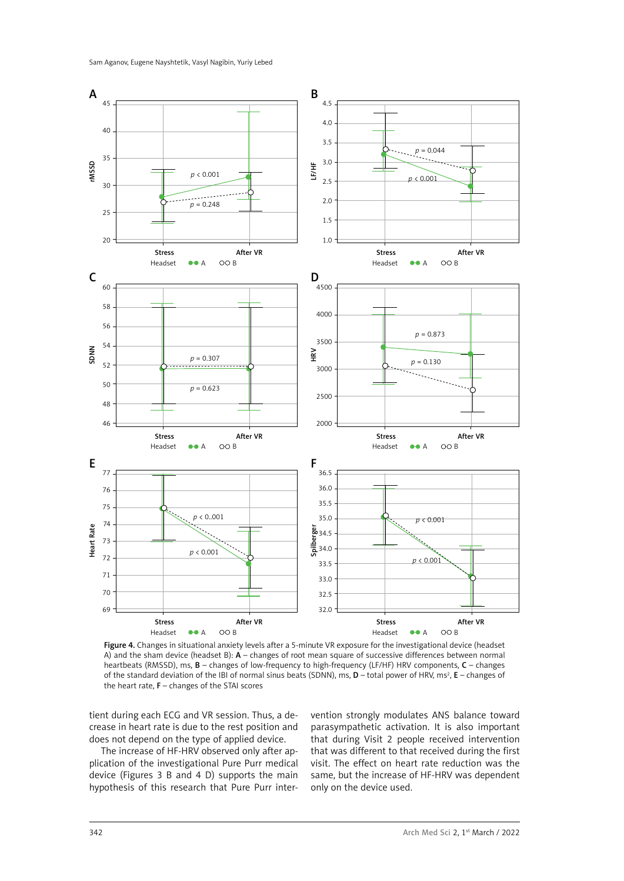

Figure 4. Changes in situational anxiety levels after a 5-minute VR exposure for the investigational device (headset A) and the sham device (headset B):  $\acute{A}$  – changes of root mean square of successive differences between normal heartbeats (RMSSD), ms, B – changes of low-frequency to high-frequency (LF/HF) HRV components, C – changes of the standard deviation of the IBI of normal sinus beats (SDNN), ms,  $D$  – total power of HRV, ms<sup>2</sup>, **E** – changes of the heart rate,  $F -$ changes of the STAI scores

tient during each ECG and VR session. Thus, a decrease in heart rate is due to the rest position and does not depend on the type of applied device.

The increase of HF-HRV observed only after application of the investigational Pure Purr medical device (Figures 3 B and 4 D) supports the main hypothesis of this research that Pure Purr intervention strongly modulates ANS balance toward parasympathetic activation. It is also important that during Visit 2 people received intervention that was different to that received during the first visit. The effect on heart rate reduction was the same, but the increase of HF-HRV was dependent only on the device used.